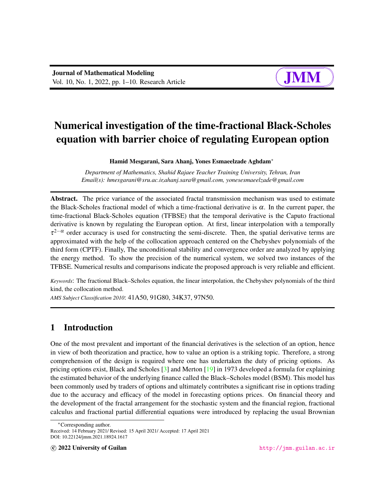

# Numerical investigation of the time-fractional Black-Scholes equation with barrier choice of regulating European option

Hamid Mesgarani, Sara Ahanj, Yones Esmaeelzade Aghdam<sup>∗</sup>

*Department of Mathematics, Shahid Rajaee Teacher Training University, Tehran, Iran Email(s): hmesgarani@sru.ac.ir,ahanj.sara@gmail.com, yonesesmaeelzade@gmail.com*

Abstract. The price variance of the associated fractal transmission mechanism was used to estimate the Black-Scholes fractional model of which a time-fractional derivative is  $\alpha$ . In the current paper, the time-fractional Black-Scholes equation (TFBSE) that the temporal derivative is the Caputo fractional derivative is known by regulating the European option. At first, linear interpolation with a temporally  $\tau^{2-\alpha}$  order accuracy is used for constructing the semi-discrete. Then, the spatial derivative terms are approximated with the help of the collocation approach centered on the Chebyshev polynomials of the third form (CPTF). Finally, The unconditional stability and convergence order are analyzed by applying the energy method. To show the precision of the numerical system, we solved two instances of the TFBSE. Numerical results and comparisons indicate the proposed approach is very reliable and efficient.

*Keywords*: The fractional Black–Scholes equation, the linear interpolation, the Chebyshev polynomials of the third kind, the collocation method.

*AMS Subject Classification 2010*: 41A50, 91G80, 34K37, 97N50.

# 1 Introduction

One of the most prevalent and important of the financial derivatives is the selection of an option, hence in view of both theorization and practice, how to value an option is a striking topic. Therefore, a strong comprehension of the design is required where one has undertaken the duty of pricing options. As pricing options exist, Black and Scholes [\[3\]](#page-6-0) and Merton [\[19\]](#page-8-0) in 1973 developed a formula for explaining the estimated behavior of the underlying finance called the Black–Scholes model (BSM). This model has been commonly used by traders of options and ultimately contributes a significant rise in options trading due to the accuracy and efficacy of the model in forecasting options prices. On financial theory and the development of the fractal arrangement for the stochastic system and the financial region, fractional calculus and fractional partial differential equations were introduced by replacing the usual Brownian

<sup>∗</sup>Corresponding author.

Received: 14 February 2021/ Revised: 15 April 2021/ Accepted: 17 April 2021 DOI: 10.22124/jmm.2021.18924.1617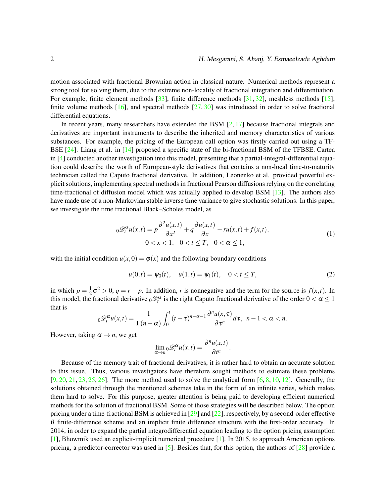motion associated with fractional Brownian action in classical nature. Numerical methods represent a strong tool for solving them, due to the extreme non-locality of fractional integration and differentiation. For example, finite element methods [\[33\]](#page-9-0), finite difference methods [\[31,](#page-8-1) [32\]](#page-9-1), meshless methods [\[15\]](#page-7-0), finite volume methods  $[16]$ , and spectral methods  $[27, 30]$  $[27, 30]$  $[27, 30]$  was introduced in order to solve fractional differential equations.

In recent years, many researchers have extended the BSM  $[2, 17]$  $[2, 17]$  $[2, 17]$  because fractional integrals and derivatives are important instruments to describe the inherited and memory characteristics of various substances. For example, the pricing of the European call option was firstly carried out using a TF-BSE [\[24\]](#page-8-6). Liang et al. in [\[14\]](#page-7-1) proposed a specific state of the bi-fractional BSM of the TFBSE. Cartea in [\[4\]](#page-6-2) conducted another investigation into this model, presenting that a partial-integral-differential equation could describe the worth of European-style derivatives that contains a non-local time-to-maturity technician called the Caputo fractional derivative. In addition, Leonenko et al. provided powerful explicit solutions, implementing spectral methods in fractional Pearson diffusions relying on the correlating time-fractional of diffusion model which was actually applied to develop BSM [\[13\]](#page-7-2). The authors also have made use of a non-Markovian stable inverse time variance to give stochastic solutions. In this paper, we investigate the time fractional Black–Scholes model, as

<span id="page-1-0"></span>
$$
{}_{0}\mathcal{D}_{t}^{\alpha}u(x,t) = p\frac{\partial^{2}u(x,t)}{\partial x^{2}} + q\frac{\partial u(x,t)}{\partial x} - ru(x,t) + f(x,t),
$$
  
0 < x < 1, 0 < t \leq T, 0 < \alpha \leq 1, (1)

with the initial condition  $u(x,0) = \varphi(x)$  and the following boundary conditions

<span id="page-1-1"></span>
$$
u(0,t) = \psi_0(t), \quad u(1,t) = \psi_1(t), \quad 0 < t \leq T,\tag{2}
$$

in which  $p = \frac{1}{2}$  $\frac{1}{2}\sigma^2 > 0$ ,  $q = r - p$ . In addition, *r* is nonnegative and the term for the source is  $f(x,t)$ . In this model, the fractional derivative  $_0\mathcal{D}_t^{\alpha}$  is the right Caputo fractional derivative of the order  $0 < \alpha \le 1$ that is

$$
{}_0\mathscr{D}_t^{\alpha}u(x,t)=\frac{1}{\Gamma(n-\alpha)}\int_0^t\,(t-\tau)^{n-\alpha-1}\frac{\partial^n u(x,\tau)}{\partial\,\tau^n}d\tau,\ \ n-1<\alpha
$$

However, taking  $\alpha \rightarrow n$ , we get

$$
\lim_{\alpha \to n} {}_0\mathscr{D}_t^{\alpha} u(x,t) = \frac{\partial^n u(x,t)}{\partial t^n}.
$$

Because of the memory trait of fractional derivatives, it is rather hard to obtain an accurate solution to this issue. Thus, various investigators have therefore sought methods to estimate these problems  $[9, 20, 21, 23, 25, 26]$  $[9, 20, 21, 23, 25, 26]$  $[9, 20, 21, 23, 25, 26]$  $[9, 20, 21, 23, 25, 26]$  $[9, 20, 21, 23, 25, 26]$  $[9, 20, 21, 23, 25, 26]$  $[9, 20, 21, 23, 25, 26]$  $[9, 20, 21, 23, 25, 26]$  $[9, 20, 21, 23, 25, 26]$  $[9, 20, 21, 23, 25, 26]$  $[9, 20, 21, 23, 25, 26]$ . The more method used to solve the analytical form  $[6, 8, 10, 12]$  $[6, 8, 10, 12]$  $[6, 8, 10, 12]$  $[6, 8, 10, 12]$  $[6, 8, 10, 12]$  $[6, 8, 10, 12]$  $[6, 8, 10, 12]$ . Generally, the solutions obtained through the mentioned schemes take in the form of an infinite series, which makes them hard to solve. For this purpose, greater attention is being paid to developing efficient numerical methods for the solution of fractional BSM. Some of those strategies will be described below. The option pricing under a time-fractional BSM is achieved in  $[29]$  and  $[22]$ , respectively, by a second-order effective θ finite-difference scheme and an implicit finite difference structure with the first-order accuracy. In 2014, in order to expand the partial integrodifferential equation leading to the option pricing assumption [\[1\]](#page-6-3), Bhowmik used an explicit-implicit numerical procedure [\[1\]](#page-6-3). In 2015, to approach American options pricing, a predictor-corrector was used in [\[5\]](#page-7-8). Besides that, for this option, the authors of [\[28\]](#page-8-14) provide a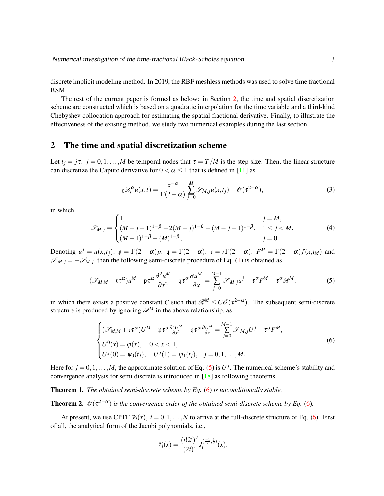discrete implicit modeling method. In 2019, the RBF meshless methods was used to solve time fractional BSM.

The rest of the current paper is formed as below: in Section [2,](#page-2-0) the time and spatial discretization scheme are constructed which is based on a quadratic interpolation for the time variable and a third-kind Chebyshev collocation approach for estimating the spatial fractional derivative. Finally, to illustrate the effectiveness of the existing method, we study two numerical examples during the last section.

### <span id="page-2-0"></span>2 The time and spatial discretization scheme

Let  $t_j = j\tau$ ,  $j = 0, 1, ..., M$  be temporal nodes that  $\tau = T/M$  is the step size. Then, the linear structure can discretize the Caputo derivative for  $0 < \alpha < 1$  that is defined in [\[11\]](#page-7-9) as

$$
{}_{0}\mathscr{D}_{t}^{\alpha}u(x,t)=\frac{\tau^{-\alpha}}{\Gamma(2-\alpha)}\sum_{j=0}^{M}\mathscr{S}_{M,j}u(x,t_{j})+\mathscr{O}(\tau^{2-\alpha}),
$$
\n(3)

in which

$$
\mathscr{S}_{M,j} = \begin{cases} 1, & j = M, \\ (M-j-1)^{1-\beta} - 2(M-j)^{1-\beta} + (M-j+1)^{1-\beta}, & 1 \le j < M, \\ (M-1)^{1-\beta} - (M)^{1-\beta}, & j = 0. \end{cases} \tag{4}
$$

Denoting  $u^j = u(x,t_j)$ ,  $\mathfrak{p} = \Gamma(2-\alpha)p$ ,  $\mathfrak{q} = \Gamma(2-\alpha)$ ,  $\mathfrak{r} = r\Gamma(2-\alpha)$ ,  $F^M = \Gamma(2-\alpha)f(x,t_M)$  and  $\overline{\mathscr{S}}_{M,j} = -\mathscr{S}_{M,j}$ , then the following semi-discrete procedure of Eq. [\(1\)](#page-1-0) is obtained as

<span id="page-2-1"></span>
$$
(\mathcal{S}_{M,M} + \tau \tau^{\alpha})u^M - \mu \tau^{\alpha} \frac{\partial^2 u^M}{\partial x^2} - \eta \tau^{\alpha} \frac{\partial u^M}{\partial x} = \sum_{j=0}^{M-1} \overline{\mathcal{S}}_{M,j} u^j + \tau^{\alpha} F^M + \tau^{\alpha} \mathcal{R}^M,
$$
(5)

in which there exists a positive constant *C* such that  $\mathcal{R}^M \leq C\mathcal{O}(\tau^{2-\alpha})$ . The subsequent semi-discrete structure is produced by ignoring  $\mathcal{R}^M$  in the above relationship, as

<span id="page-2-2"></span>
$$
\begin{cases}\n(\mathcal{S}_{M,M} + \mathfrak{r}\tau^{\alpha})U^M - \mathfrak{p}\tau^{\alpha}\frac{\partial^2 U^M}{\partial x^2} - \mathfrak{q}\tau^{\alpha}\frac{\partial U^M}{\partial x} = \sum_{j=0}^{M-1} \overline{\mathcal{S}}_{M,j}U^j + \tau^{\alpha}F^M, \\
U^0(x) = \varphi(x), \quad 0 < x < 1, \\
U^j(0) = \psi_0(t_j), \quad U^j(1) = \psi_1(t_j), \quad j = 0, 1, ..., M.\n\end{cases} \tag{6}
$$

Here for  $j = 0, 1, \ldots, M$ , the approximate solution of Eq. [\(5\)](#page-2-1) is  $U^j$ . The numerical scheme's stability and convergence analysis for semi discrete is introduced in [\[18\]](#page-8-15) as following theorems.

Theorem 1. *The obtained semi-discrete scheme by Eq.* [\(6\)](#page-2-2) *is unconditionally stable.*

**Theorem 2.**  $\mathcal{O}(\tau^{2-\alpha})$  is the convergence order of the obtained semi-discrete scheme by Eq. [\(6\)](#page-2-2).

At present, we use CPTF  $\mathcal{V}_i(x)$ ,  $i = 0, 1, ..., N$  to arrive at the full-discrete structure of Eq. [\(6\)](#page-2-2). First of all, the analytical form of the Jacobi polynomials, i.e.,

$$
\mathscr{V}_i(x) = \frac{(i!2^i)^2}{(2i)!} J_i^{(\frac{-1}{2},\frac{1}{2})}(x),
$$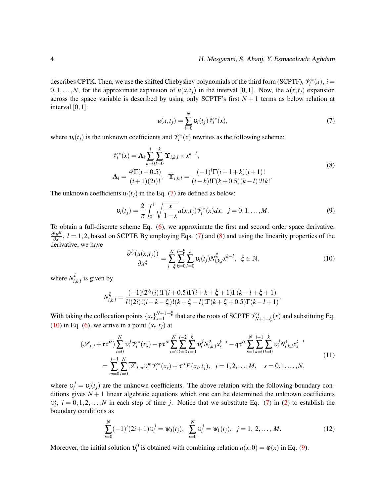#### 4 H. Mesgarani, S. Ahanj, Y. Esmaeelzade Aghdam

describes CPTK. Then, we use the shifted Chebyshev polynomials of the third form (SCPTF),  $\mathcal{V}_i^*(x)$ ,  $i =$ 0,1,...,*N*, for the approximate expansion of  $u(x,t_i)$  in the interval [0,1]. Now, the  $u(x,t_i)$  expansion across the space variable is described by using only SCPTF's first  $N + 1$  terms as below relation at interval  $[0,1]$ :

<span id="page-3-0"></span>
$$
u(x,t_j) = \sum_{i=0}^{N} v_i(t_j) \mathcal{V}_i^*(x),
$$
 (7)

where  $v_i(t_j)$  is the unknown coefficients and  $\mathcal{V}_i^*(x)$  rewrites as the following scheme:

<span id="page-3-1"></span>
$$
\mathcal{V}_{i}^{*}(x) = \Lambda_{i} \sum_{k=0}^{i} \sum_{l=0}^{k} \Upsilon_{i,k,l} \times x^{k-l},
$$
\n
$$
\Lambda_{i} = \frac{4^{i} \Gamma(i+0.5)}{(i+1)(2i)!}, \quad \Upsilon_{i,k,l} = \frac{(-1)^{l} \Gamma(i+1+k)(i+1)!}{(i-k)! \Gamma(k+0.5)(k-l)! l! k!}.
$$
\n(8)

The unknown coefficients  $u_i(t_i)$  in the Eq. [\(7\)](#page-3-0) are defined as below:

<span id="page-3-3"></span>
$$
\upsilon_i(t_j) = \frac{2}{\pi} \int_0^1 \sqrt{\frac{x}{1-x}} u(x,t_j) \mathcal{V}_i^*(x) dx, \ \ j = 0, 1, \dots, M. \tag{9}
$$

To obtain a full-discrete scheme Eq. [\(6\)](#page-2-2), we approximate the first and second order space derivative, ∂ *lu M*  $\frac{\partial^2 u^m}{\partial x^l}$ ,  $l = 1, 2$ , based on SCPTF. By employing Eqs. [\(7\)](#page-3-0) and [\(8\)](#page-3-1) and using the linearity properties of the derivative, we have

<span id="page-3-2"></span>
$$
\frac{\partial^{\xi}(u(x,t_j))}{\partial x^{\xi}} = \sum_{i=\xi}^{N} \sum_{k=0}^{i-\xi} \sum_{l=0}^{k} \upsilon_i(t_j) N_{i,k,l}^{\xi} x^{k-l}, \xi \in \mathbb{N},
$$
\n(10)

.

where  $N_i^{\xi}$  $\int_{i,k,l}$  is given by

$$
N_{i,k,l}^{\xi} = \frac{(-1)^l 2^{2i}(i)! \Gamma(i+0.5) \Gamma(i+k+\xi+1) \Gamma(k-l+\xi+1)}{l!(2i)!(i-k-\xi)!(k+\xi-l)! \Gamma(k+\xi+0.5) \Gamma(k-l+1)}
$$

With taking the collocation points  $\{x_s\}_{s=1}^{N+1-\xi}$  $x_{s=1}^{N+1-\xi}$  that are the roots of SCPTF  $\mathcal{V}_{N+1-\xi}^*(x)$  and substituing Eq. [\(10\)](#page-3-2) in Eq. [\(6\)](#page-2-2), we arrive in a point  $(x_s, t_j)$  at

$$
(\mathcal{S}_{j,j} + \tau \tau^{\alpha}) \sum_{i=0}^{N} \upsilon_i^j \mathcal{V}_i^*(x_s) - \mathfrak{p} \tau^{\alpha} \sum_{i=2}^{N} \sum_{k=0}^{i-2} \sum_{l=0}^{k} \upsilon_i^j N_{i,k,l}^2 x_s^{k-l} - \mathfrak{q} \tau^{\alpha} \sum_{i=1}^{N} \sum_{k=0}^{i-1} \sum_{l=0}^{k} \upsilon_i^j N_{i,k,l}^1 x_s^{k-l}
$$
  
= 
$$
\sum_{m=0}^{j-1} \sum_{i=0}^{N} \overline{\mathcal{S}}_{j,m} \upsilon_i^m \mathcal{V}_i^*(x_s) + \tau^{\alpha} F(x_s, t_j), \quad j = 1, 2, ..., M, \quad s = 0, 1, ..., N,
$$
 (11)

where  $v_i^j = v_i(t_j)$  are the unknown coefficients. The above relation with the following boundary conditions gives  $N+1$  linear algebraic equations which one can be determined the unknown coefficients  $v_i^i$ ,  $i = 0, 1, 2, \ldots, N$  in each step of time *j*. Notice that we substitute Eq. [\(7\)](#page-3-0) in [\(2\)](#page-1-1) to establish the boundary conditions as

$$
\sum_{i=0}^{N} (-1)^{i} (2i+1) v_i^{j} = \psi_0(t_j), \ \sum_{i=0}^{N} v_i^{j} = \psi_1(t_j), \ j = 1, 2, ..., M.
$$
 (12)

Moreover, the initial solution  $v_i^0$  is obtained with combining relation  $u(x,0) = \varphi(x)$  in Eq. [\(9\)](#page-3-3).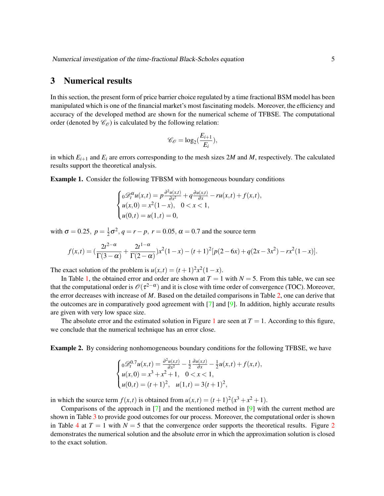## 3 Numerical results

In this section, the present form of price barrier choice regulated by a time fractional BSM model has been manipulated which is one of the financial market's most fascinating models. Moreover, the efficiency and accuracy of the developed method are shown for the numerical scheme of TFBSE. The computational order (denoted by  $\mathcal{C}_{\mathcal{O}}$ ) is calculated by the following relation:

$$
\mathscr{C}_{\mathcal{O}} = \log_2(\frac{E_{i+1}}{E_i}),
$$

in which  $E_{i+1}$  and  $E_i$  are errors corresponding to the mesh sizes 2*M* and *M*, respectively. The calculated results support the theoretical analysis.

<span id="page-4-0"></span>Example 1. Consider the following TFBSM with homogeneous boundary conditions

$$
\begin{cases}\n0\mathcal{D}_t^{\alpha}u(x,t) = p\frac{\partial^2 u(x,t)}{\partial x^2} + q\frac{\partial u(x,t)}{\partial x} - ru(x,t) + f(x,t), \\
u(x,0) = x^2(1-x), \quad 0 < x < 1, \\
u(0,t) = u(1,t) = 0,\n\end{cases}
$$

with  $\sigma = 0.25$ ,  $p = \frac{1}{2}$  $\frac{1}{2}\sigma^2$ ,  $q = r - p$ ,  $r = 0.05$ ,  $\alpha = 0.7$  and the source term

$$
f(x,t) = \left(\frac{2t^{2-\alpha}}{\Gamma(3-\alpha)} + \frac{2t^{1-\alpha}}{\Gamma(2-\alpha)}\right)x^2(1-x) - (t+1)^2[p(2-6x) + q(2x-3x^2) - rx^2(1-x)].
$$

The exact solution of the problem is  $u(x,t) = (t+1)^2 x^2 (1-x)$ .

In Table [1,](#page-5-0) the obtained error and order are shown at  $T = 1$  with  $N = 5$ . From this table, we can see that the computational order is  $\mathscr{O}(\tau^{2-\alpha})$  and it is close with time order of convergence (TOC). Moreover, the error decreases with increase of *M*. Based on the detailed comparisons in Table [2,](#page-5-0) one can derive that the outcomes are in comparatively good agreement with [\[7\]](#page-7-10) and [\[9\]](#page-7-3). In addition, highly accurate results are given with very low space size.

The absolute error and the estimated solution in Figure [1](#page-5-1) are seen at  $T = 1$ . According to this figure, we conclude that the numerical technique has an error close.

<span id="page-4-1"></span>Example 2. By considering nonhomogeneous boundary conditions for the following TFBSE, we have

$$
\begin{cases}\n0 \mathcal{D}_t^{0.7} u(x,t) = \frac{\partial^2 u(x,t)}{\partial x^2} - \frac{1}{2} \frac{\partial u(x,t)}{\partial x} - \frac{1}{2} u(x,t) + f(x,t), \\
u(x,0) = x^3 + x^2 + 1, \quad 0 < x < 1, \\
u(0,t) = (t+1)^2, \quad u(1,t) = 3(t+1)^2,\n\end{cases}
$$

in which the source term  $f(x,t)$  is obtained from  $u(x,t) = (t+1)^2(x^3 + x^2 + 1)$ .

Comparisons of the approach in [\[7\]](#page-7-10) and the mentioned method in [\[9\]](#page-7-3) with the current method are shown in Table [3](#page-6-4) to provide good outcomes for our process. Moreover, the computational order is shown in Table [4](#page-6-4) at  $T = 1$  with  $N = 5$  that the convergence order supports the theoretical results. Figure [2](#page-7-11) demonstrates the numerical solution and the absolute error in which the approximation solution is closed to the exact solution.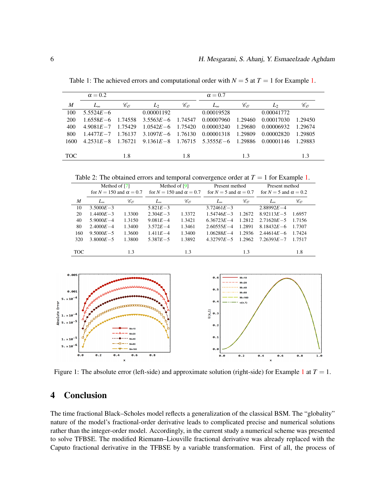|                  | $\alpha = 0.2$ |                                                 |               |                                                 | $\alpha = 0.7$                  |         |               |                                                 |
|------------------|----------------|-------------------------------------------------|---------------|-------------------------------------------------|---------------------------------|---------|---------------|-------------------------------------------------|
| $\boldsymbol{M}$ | $L_{\infty}$   | $\mathscr{C}_{\scriptscriptstyle{\mathcal{O}}}$ | $L_2$         | $\mathscr{C}_{\scriptscriptstyle{\mathcal{O}}}$ | $L_{\infty}$                    | Ce      | $\mathcal{L}$ | $\mathscr{C}_{\scriptscriptstyle{\mathscr{O}}}$ |
| 100              | $5.5524E - 6$  |                                                 | 0.00001192    |                                                 | 0.00019528                      |         | 0.00041772    |                                                 |
| 200              | $1.6558E - 6$  | 1.74558                                         | $3.5563E - 6$ | 1.74547                                         | 0.00007960                      | 1.29460 | 0.00017030    | 1.29450                                         |
| 400              | $4.9081E - 7$  | 1.75429                                         | $1.0542E - 6$ | 1.75420                                         | 0.00003240                      | 1.29680 | 0.00006932    | 1.29674                                         |
| 800              | $1.4477E - 7$  | 1.76137                                         | $3.1097E - 6$ | 1.76130                                         | 0.00001318                      | 1.29809 | 0.00002820    | 1.29805                                         |
| 1600             | $4.2531E - 8$  | 1.76721                                         |               |                                                 | $9.1361E - 8$ 1.76715 5.3555E-6 | 1.29886 | 0.00001146    | 1.29883                                         |
|                  |                |                                                 |               |                                                 |                                 |         |               |                                                 |
| <b>TOC</b>       |                | 1.8                                             |               | 1.8                                             |                                 | 1.3     |               | 1.3                                             |

<span id="page-5-0"></span>Table 1: The achieved errors and computational order with  $N = 5$  at  $T = 1$  for Example [1.](#page-4-0)

Table 2: The obtained errors and temporal convergence order at  $T = 1$  for Example [1.](#page-4-0)

|      | Method of $[7]$                  |        | Method of $[9]$                  |                                                 | Present method                 |        | Present method                 |        |
|------|----------------------------------|--------|----------------------------------|-------------------------------------------------|--------------------------------|--------|--------------------------------|--------|
|      | for $N = 150$ and $\alpha = 0.7$ |        | for $N = 150$ and $\alpha = 0.7$ |                                                 | for $N = 5$ and $\alpha = 0.7$ |        | for $N = 5$ and $\alpha = 0.2$ |        |
| M    | $L_{\infty}$                     | Co     | $L_{\infty}$                     | $\mathscr{C}_{\scriptscriptstyle{\mathcal{O}}}$ | $L_{\infty}$                   | Co     | $L_{\infty}$                   | Co     |
| 10   | $3.5000E - 3$                    |        | $5.821E - 3$                     |                                                 | $3.72461E - 3$                 |        | $2.88992E - 4$                 |        |
| 20   | $1.4400E - 3$                    | 1.3300 | $2.304E - 3$                     | 1.3372                                          | $1.54746E - 3$                 | 1.2672 | $8.92113E - 5$                 | 1.6957 |
| 40   | $5.9000E - 4$                    | 1.3150 | $9.081E - 4$                     | 1.3421                                          | $6.36723E - 4$                 | 1.2812 | $2.71620E - 5$                 | 1.7156 |
| 80   | $2.4000E - 4$                    | 1.3400 | $3.572E - 4$                     | 1.3461                                          | $2.60555E - 4$                 | 1.2891 | $8.18432E - 6$                 | 1.7307 |
| 160  | $9.5000E - 5$                    | 1.3600 | $1.411E - 4$                     | 1.3400                                          | $1.06288E - 4$                 | 1.2936 | $2.44614E - 6$                 | 1.7424 |
| 320  | $3.8000E - 5$                    | 1.3800 | $5.387E - 5$                     | 1.3892                                          | $4.32797E - 5$                 | 1.2962 | $7.26393E - 7$                 | 1.7517 |
|      |                                  |        |                                  |                                                 |                                |        |                                |        |
| TOC. |                                  | 1.3    |                                  | 1.3                                             |                                | 1.3    |                                | 1.8    |

<span id="page-5-1"></span>

Figure [1](#page-4-0): The absolute error (left-side) and approximate solution (right-side) for Example 1 at  $T = 1$ .

# 4 Conclusion

The time fractional Black–Scholes model reflects a generalization of the classical BSM. The "globality" nature of the model's fractional-order derivative leads to complicated precise and numerical solutions rather than the integer-order model. Accordingly, in the current study a numerical scheme was presented to solve TFBSE. The modified Riemann–Liouville fractional derivative was already replaced with the Caputo fractional derivative in the TFBSE by a variable transformation. First of all, the process of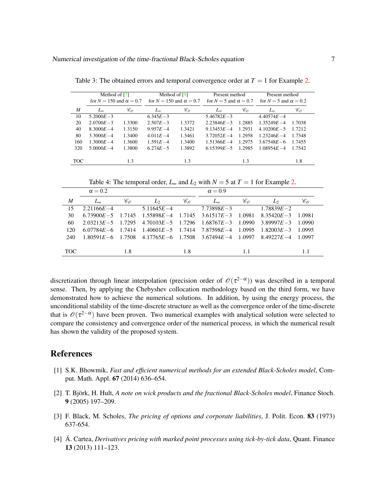|                  | Method of [7]<br>for $N = 150$ and $\alpha = 0.7$ |        | Method of $[9]$<br>for $N = 150$ and $\alpha = 0.7$ |                                                 | Present method<br>for $N = 5$ and $\alpha = 0.7$ |                                                 | Present method<br>for $N = 5$ and $\alpha = 0.2$ |                                                 |
|------------------|---------------------------------------------------|--------|-----------------------------------------------------|-------------------------------------------------|--------------------------------------------------|-------------------------------------------------|--------------------------------------------------|-------------------------------------------------|
|                  |                                                   |        |                                                     |                                                 |                                                  |                                                 |                                                  |                                                 |
| $\boldsymbol{M}$ | $L_{\infty}$                                      | Cв     | $L_{\infty}$                                        | $\mathscr{C}_{\scriptscriptstyle{\mathscr{O}}}$ | $L_{\infty}$                                     | $\mathscr{C}_{\scriptscriptstyle{\mathscr{O}}}$ | $L_{\infty}$                                     | $\mathscr{C}_{\scriptscriptstyle{\mathscr{O}}}$ |
| 10               | $5.2000E - 3$                                     |        | $6.345E - 3$                                        |                                                 | $5.46782E - 3$                                   |                                                 | $4.40574E - 4$                                   |                                                 |
| 20               | $2.0700E - 3$                                     | 1.3300 | $2.507E - 3$                                        | 1.3372                                          | $2.23846E - 3$                                   | 1.2885                                          | $1.35249E - 4$                                   | 1.7038                                          |
| 40               | $8.3000E - 4$                                     | 1.3150 | $9.957E - 4$                                        | 1.3421                                          | $9.13453E - 4$                                   | 1.2931                                          | $4.10200E - 5$                                   | 1.7212                                          |
| 80               | 3.3000 $E - 4$                                    | 1.3400 | $4.011E - 4$                                        | 1.3461                                          | $3.72052E - 4$                                   | 1.2958                                          | $1.23246E - 4$                                   | 1.7348                                          |
| 160              | $1.3000E - 4$                                     | 1.3600 | $1.591E - 4$                                        | 1.3400                                          | $1.51366E - 4$                                   | 1.2975                                          | $3.67548E - 6$                                   | 1.7455                                          |
| 320              | 5.0000 $E - 4$                                    | 1.3800 | $6.274E - 5$                                        | 1.3892                                          | $6.15399E - 5$                                   | 1.2985                                          | $1.08954E - 4$                                   | 1.7542                                          |
|                  |                                                   |        |                                                     |                                                 |                                                  |                                                 |                                                  |                                                 |
| <b>TOC</b>       |                                                   | 1.3    |                                                     | 1.3                                             |                                                  | 1.3                                             |                                                  | 1.8                                             |

<span id="page-6-4"></span>Table 3: The obtained errors and temporal convergence order at  $T = 1$  for Example [2.](#page-4-1)

Table 4: The temporal order,  $L_{\infty}$  and  $L_2$  with  $N = 5$  at  $T = 1$  for Example [2.](#page-4-1)

|                  | $\alpha = 0.2$ |        |                                                                         |                                                 | $\alpha = 0.9$ |                                                 |                      |        |
|------------------|----------------|--------|-------------------------------------------------------------------------|-------------------------------------------------|----------------|-------------------------------------------------|----------------------|--------|
| $\boldsymbol{M}$ | $L_{\infty}$   | Co     | $\mathcal{L}_{2}$                                                       | $\mathscr{C}_{\scriptscriptstyle{\mathcal{O}}}$ | $L_{\infty}$   | $\mathscr{C}_{\scriptscriptstyle{\mathcal{B}}}$ | $\mathcal{L}_{2}$    | Co     |
| 15               | $2.21166E - 4$ |        | $5.11645E - 4$                                                          |                                                 | $7.73898E - 3$ |                                                 | $1.78839E - 2$       |        |
| 30               | $6.73900E - 5$ |        | $1.7145$ $1.55898E-4$ $1.7145$ $3.61517E-3$                             |                                                 |                | 1.0981                                          | $8.35420E - 3$       | 1.0981 |
| 60               | $2.03213E - 5$ | 1.7295 | $4.70103E - 5$ 1.7296                                                   |                                                 | $1.68767E - 3$ | 1.0990                                          | $3.89997E - 3$       | 1.0990 |
| 120              | $6.07784E - 6$ | 1.7414 | $1.40601E - 5$ 1.7414 7.87598E-4                                        |                                                 |                | 1.0995                                          | $1.82003E - 3$       | 1.0995 |
| 240              |                |        | $1.80591E - 6$ $1.7508$ $4.17765E - 6$ $1.7508$ $3.67494E - 4$ $1.0997$ |                                                 |                |                                                 | 8.49227 <i>E</i> – 4 | 1.0997 |
|                  |                |        |                                                                         |                                                 |                |                                                 |                      |        |
| <b>TOC</b>       |                | 1.8    |                                                                         | 1.8                                             |                | 1.1                                             |                      | 1.1    |

discretization through linear interpolation (precision order of  $\mathcal{O}(\tau^{2-\alpha})$ ) was described in a temporal sense. Then, by applying the Chebyshev collocation methodology based on the third form, we have demonstrated how to achieve the numerical solutions. In addition, by using the energy process, the unconditional stability of the time-discrete structure as well as the convergence order of the time-discrete that is  $\mathcal{O}(\tau^{2-\alpha})$  have been proven. Two numerical examples with analytical solution were selected to compare the consistency and convergence order of the numerical process, in which the numerical result has shown the validity of the proposed system.

### References

- <span id="page-6-3"></span>[1] S.K. Bhowmik, *Fast and efficient numerical methods for an extended Black-Scholes model*, Comput. Math. Appl. 67 (2014) 636–654.
- <span id="page-6-1"></span>[2] T. Björk, H. Hult, *A note on wick products and the fractional Black-Scholes model*, Finance Stoch. 9 (2005) 197–209.
- <span id="page-6-0"></span>[3] F. Black, M. Scholes, *The pricing of options and corporate liabilities*, J. Polit. Econ. 83 (1973) 637-654.
- <span id="page-6-2"></span>[4] A. Cartea, *Derivatives pricing with marked point processes using tick-by-tick data*, Quant. Finance 13 (2013) 111–123.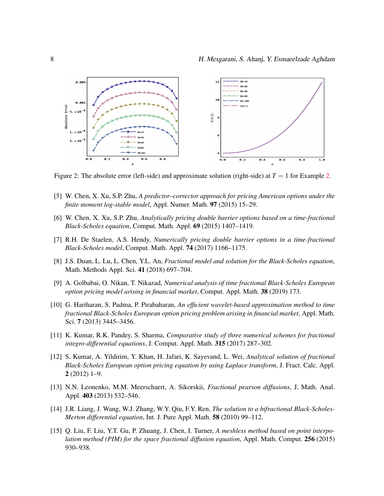<span id="page-7-11"></span>

Figure 2: The absolute error (left-side) and approximate solution (right-side) at  $T = 1$  for Example [2.](#page-4-1)

- <span id="page-7-8"></span>[5] W. Chen, X. Xu, S.P. Zhu, *A predictor–corrector approach for pricing American options under the finite moment log-stable model*, Appl. Numer. Math. 97 (2015) 15–29.
- <span id="page-7-4"></span>[6] W. Chen, X. Xu, S.P. Zhu, *Analytically pricing double barrier options based on a time-fractional Black-Scholes equation*, Comput. Math. Appl. 69 (2015) 1407–1419.
- <span id="page-7-10"></span>[7] R.H. De Staelen, A.S. Hendy, *Numerically pricing double barrier options in a time-fractional Black-Scholes model*, Comput. Math. Appl. 74 (2017) 1166–1175.
- <span id="page-7-5"></span>[8] J.S. Duan, L. Lu, L. Chen, Y.L. An, *Fractional model and solution for the Black-Scholes equation*, Math. Methods Appl. Sci. 41 (2018) 697–704.
- <span id="page-7-3"></span>[9] A. Golbabai, O. Nikan, T. Nikazad, *Numerical analysis of time fractional Black-Scholes European option pricing model arising in financial market*, Comput. Appl. Math. 38 (2019) 173.
- <span id="page-7-6"></span>[10] G. Hariharan, S. Padma, P. Pirabaharan, *An efficient wavelet-based approximation method to time fractional Black-Scholes European option pricing problem arising in financial market*, Appl. Math. Sci. 7 (2013) 3445–3456.
- <span id="page-7-9"></span>[11] K. Kumar, R.K. Pandey, S. Sharma, *Comparative study of three numerical schemes for fractional integro-differential equations*, J. Comput. Appl. Math. 315 (2017) 287–302.
- <span id="page-7-7"></span>[12] S. Kumar, A. Yildirim, Y. Khan, H. Jafari, K. Sayevand, L. Wei, *Analytical solution of fractional Black-Scholes European option pricing equation by using Laplace transform*, J. Fract. Calc. Appl. 2 (2012) 1–9.
- <span id="page-7-2"></span>[13] N.N. Leonenko, M.M. Meerschaert, A. Sikorskii, *Fractional pearson diffusions*, J. Math. Anal. Appl. 403 (2013) 532-546.
- <span id="page-7-1"></span>[14] J.R. Liang, J. Wang, W.J. Zhang, W.Y. Qiu, F.Y. Ren, *The solution to a bifractional Black-Scholes-Merton differential equation*, Int. J. Pure Appl. Math. 58 (2010) 99–112.
- <span id="page-7-0"></span>[15] Q. Liu, F. Liu, Y.T. Gu, P. Zhuang, J. Chen, I. Turner, *A meshless method based on point interpolation method (PIM) for the space fractional diffusion equation*, Appl. Math. Comput. 256 (2015) 930–938.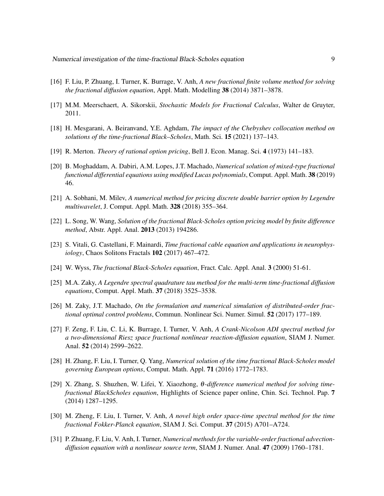- <span id="page-8-2"></span>[16] F. Liu, P. Zhuang, I. Turner, K. Burrage, V. Anh, *A new fractional finite volume method for solving the fractional diffusion equation*, Appl. Math. Modelling 38 (2014) 3871–3878.
- <span id="page-8-5"></span>[17] M.M. Meerschaert, A. Sikorskii, *Stochastic Models for Fractional Calculus*, Walter de Gruyter, 2011.
- <span id="page-8-15"></span>[18] H. Mesgarani, A. Beiranvand, Y.E. Aghdam, *The impact of the Chebyshev collocation method on solutions of the time-fractional Black–Scholes*, Math. Sci. 15 (2021) 137–143.
- <span id="page-8-0"></span>[19] R. Merton. *Theory of rational option pricing*, Bell J. Econ. Manag. Sci. 4 (1973) 141–183.
- <span id="page-8-7"></span>[20] B. Moghaddam, A. Dabiri, A.M. Lopes, J.T. Machado, *Numerical solution of mixed-type fractional functional differential equations using modified Lucas polynomials*, Comput. Appl. Math. 38 (2019) 46.
- <span id="page-8-8"></span>[21] A. Sobhani, M. Milev, *A numerical method for pricing discrete double barrier option by Legendre multiwavelet*, J. Comput. Appl. Math. 328 (2018) 355–364.
- <span id="page-8-13"></span>[22] L. Song, W. Wang, *Solution of the fractional Black-Scholes option pricing model by finite difference method*, Abstr. Appl. Anal. 2013 (2013) 194286.
- <span id="page-8-9"></span>[23] S. Vitali, G. Castellani, F. Mainardi, *Time fractional cable equation and applications in neurophysiology*, Chaos Solitons Fractals 102 (2017) 467–472.
- <span id="page-8-6"></span>[24] W. Wyss, *The fractional Black-Scholes equation*, Fract. Calc. Appl. Anal. 3 (2000) 51-61.
- <span id="page-8-10"></span>[25] M.A. Zaky, *A Legendre spectral quadrature tau method for the multi-term time-fractional diffusion equations*, Comput. Appl. Math. 37 (2018) 3525–3538.
- <span id="page-8-11"></span>[26] M. Zaky, J.T. Machado, *On the formulation and numerical simulation of distributed-order fractional optimal control problems*, Commun. Nonlinear Sci. Numer. Simul. 52 (2017) 177–189.
- <span id="page-8-3"></span>[27] F. Zeng, F. Liu, C. Li, K. Burrage, I. Turner, V. Anh, *A Crank-Nicolson ADI spectral method for a two-dimensional Riesz space fractional nonlinear reaction-diffusion equation*, SIAM J. Numer. Anal. 52 (2014) 2599–2622.
- <span id="page-8-14"></span>[28] H. Zhang, F. Liu, I. Turner, Q. Yang, *Numerical solution of the time fractional Black-Scholes model governing European options*, Comput. Math. Appl. 71 (2016) 1772–1783.
- <span id="page-8-12"></span>[29] X. Zhang, S. Shuzhen, W. Lifei, Y. Xiaozhong, θ*-difference numerical method for solving timefractional BlackScholes equation*, Highlights of Science paper online, Chin. Sci. Technol. Pap. 7 (2014) 1287–1295.
- <span id="page-8-4"></span>[30] M. Zheng, F. Liu, I. Turner, V. Anh, *A novel high order space-time spectral method for the time fractional Fokker-Planck equation*, SIAM J. Sci. Comput. 37 (2015) A701–A724.
- <span id="page-8-1"></span>[31] P. Zhuang, F. Liu, V. Anh, I. Turner, *Numerical methods for the variable-order fractional advectiondiffusion equation with a nonlinear source term*, SIAM J. Numer. Anal. 47 (2009) 1760–1781.